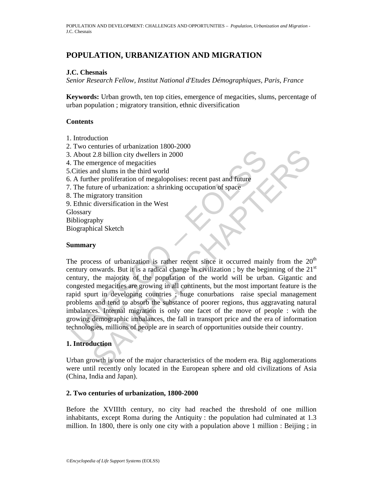# **POPULATION, URBANIZATION AND MIGRATION**

## **J.C. Chesnais**

*Senior Research Fellow, Institut National d'Etudes Démographiques, Paris, France* 

**Keywords:** Urban growth, ten top cities, emergence of megacities, slums, percentage of urban population ; migratory transition, ethnic diversification

### **Contents**

- 1. Introduction
- 2. Two centuries of urbanization 1800-2000
- 3. About 2.8 billion city dwellers in 2000
- 4. The emergence of megacities
- 5.Cities and slums in the third world
- 6. A further proliferation of megalopolises: recent past and future
- 7. The future of urbanization: a shrinking occupation of space
- 8. The migratory transition
- 9. Ethnic diversification in the West

**Glossary** 

Bibliography

Biographical Sketch

#### **Summary**

About 2.8 billion city dwellers in 2000<br>
The emergence of megacities<br>
Cities and slums in the third world<br>
A further proliferation of megalopolises: recent past and future<br>
A further proliferation of megalopolises: recent The minimal sum in the third world<br>
2.8 billion city dwellers in 2000<br>
nergence of megacities<br>
and slume in the third world<br>
there proliferation of megalopolises: recent past and future<br>
ture of urbanization: a shrinking o The process of urbanization is rather recent since it occurred mainly from the  $20<sup>th</sup>$ century onwards. But it is a radical change in civilization; by the beginning of the  $21<sup>st</sup>$ century, the majority of the population of the world will be urban. Gigantic and congested megacities are growing in all continents, but the most important feature is the rapid spurt in developing countries ; huge conurbations raise special management problems and tend to absorb the substance of poorer regions, thus aggravating natural imbalances. Internal migration is only one facet of the move of people : with the growing demographic imbalances, the fall in transport price and the era of information technologies, millions of people are in search of opportunities outside their country.

## **1. Introduction**

Urban growth is one of the major characteristics of the modern era. Big agglomerations were until recently only located in the European sphere and old civilizations of Asia (China, India and Japan).

#### **2. Two centuries of urbanization, 1800-2000**

Before the XVIIIth century, no city had reached the threshold of one million inhabitants, except Roma during the Antiquity : the population had culminated at 1.3 million. In 1800, there is only one city with a population above 1 million : Beijing ; in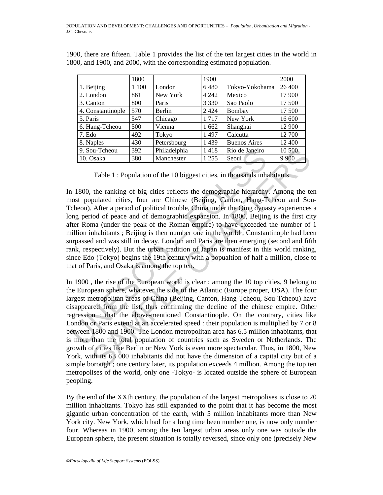|                   | 1800  |              | 1900    |                     | 2000    |
|-------------------|-------|--------------|---------|---------------------|---------|
| 1. Beijing        | 1 100 | London       | 6480    | Tokyo-Yokohama      | 26 400  |
| 2. London         | 861   | New York     | 4 2 4 2 | Mexico              | 17 900  |
| 3. Canton         | 800   | Paris        | 3 3 3 0 | Sao Paolo           | 17 500  |
| 4. Constantinople | 570   | Berlin       | 2 4 2 4 | Bombay              | 17 500  |
| 5. Paris          | 547   | Chicago      | 1717    | New York            | 16 600  |
| 6. Hang-Tcheou    | 500   | Vienna       | 1 662   | Shanghai            | 12 900  |
| 7. Edo            | 492   | Tokyo        | 1497    | Calcutta            | 12 700  |
| 8. Naples         | 430   | Petersbourg  | 1439    | <b>Buenos Aires</b> | 12 400  |
| 9. Sou-Tcheou     | 392   | Philadelphia | 1418    | Rio de Janeiro      | 10 500  |
| 10. Osaka         | 380   | Manchester   | 1 2 5 5 | Seoul               | 9 9 0 0 |

1900, there are fifteen. Table 1 provides the list of the ten largest cities in the world in 1800, and 1900, and 2000, with the corresponding estimated population.

Table 1 : Population of the 10 biggest cities, in thousands inhabitants

 $\frac{9.50u-7 \text{cheou}}{10.0 \text{s} \text{s} \text{A}}$   $\frac{392}{380}$  Philadelphia 1418 Rio de Janeiro<br>
Table 1 : Population of the 10 biggest cities, in thousands inha<br>
1800, the ranking of big cities reflects the demographic hierarchy<br> In 1800, the ranking of big cities reflects the demographic hierarchy. Among the ten most populated cities, four are Chinese (Beijing, Canton, Hang-Tcheou and Sou-Tcheou). After a period of political trouble, China under the Qing dynasty experiences a long period of peace and of demographic expansion. In 1800, Beijing is the first city after Roma (under the peak of the Roman empire) to have exceeded the number of 1 million inhabitants ; Beijing is then number one in the world ; Constantinople had been surpassed and was still in decay. London and Paris are then emerging (second and fifth rank, respectively). But the urban tradition of Japan is manifest in this world ranking, since Edo (Tokyo) begins the 19th century with a popualtion of half a million, close to that of Paris, and Osaka is among the top ten.

10. Tcheou 392 Philadelphia 1418 Rio de Janeiro 10.500<br>
10.500<br>
10.52 Philadelphia 1418 Rio de Janeiro 10.500<br>
17able 1: Population of the 10 biggest cities, in thousands inhabitants<br>
the ranking of big cities reflects the In 1900 , the rise of the European world is clear ; among the 10 top cities, 9 belong to the European sphere, whatever the side of the Atlantic (Europe proper, USA). The four largest metropolitan areas of China (Beijing, Canton, Hang-Tcheou, Sou-Tcheou) have disappeared from the list, thus confirming the decline of the chinese empire. Other regression : that the above-mentioned Constantinople. On the contrary, cities like London or Paris extend at an accelerated speed : their population is multiplied by 7 or 8 between 1800 and 1900. The London metropolitan area has 6.5 million inhabitants, that is more than the total population of countries such as Sweden or Netherlands. The growth of cities like Berlin or New York is even more spectacular. Thus, in 1800, New York, with its 63 000 inhabitants did not have the dimension of a capital city but of a simple borough ; one century later, its population exceeds 4 million. Among the top ten metropolises of the world, only one -Tokyo- is located outside the sphere of European peopling.

By the end of the XXth century, the population of the largest metropolises is close to 20 million inhabitants. Tokyo has still expanded to the point that it has become the most gigantic urban concentration of the earth, with 5 million inhabitants more than New York city. New York, which had for a long time been number one, is now only number four. Whereas in 1900, among the ten largest urban areas only one was outside the European sphere, the present situation is totally reversed, since only one (precisely New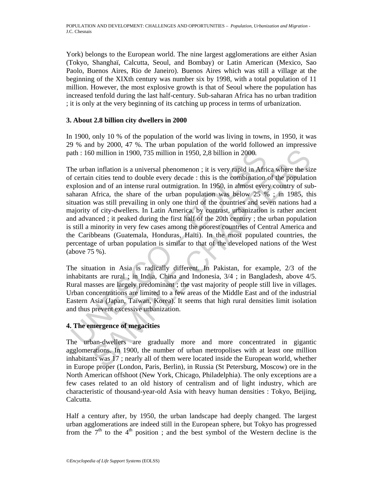York) belongs to the European world. The nine largest agglomerations are either Asian (Tokyo, Shanghaï, Calcutta, Seoul, and Bombay) or Latin American (Mexico, Sao Paolo, Buenos Aires, Rio de Janeiro). Buenos Aires which was still a village at the beginning of the XIXth century was number six by 1998, with a total population of 11 million. However, the most explosive growth is that of Seoul where the population has increased tenfold during the last half-century. Sub-saharan Africa has no urban tradition ; it is only at the very beginning of its catching up process in terms of urbanization.

## **3. About 2.8 billion city dwellers in 2000**

In 1900, only 10 % of the population of the world was living in towns, in 1950, it was 29 % and by 2000, 47 %. The urban population of the world followed an impressive path : 160 million in 1900, 735 million in 1950, 2,8 billion in 2000.

ath: 160 million in 1900, 735 million in 1950, 2,8 billion in 2000.<br>
he urban inflation is a universal phenomenon; it is very rapid in Africation in its usery acceles that of corollate every decade: this is the combination 0 million in 1900, 735 million in 1950, 2,8 billion in 2000.<br>
n inflation is a universal phenomenon; it is very rapid in Africa where the size cities tend to double every decade: this is the combination of the population The urban inflation is a universal phenomenon ; it is very rapid in Africa where the size of certain cities tend to double every decade : this is the combination of the population explosion and of an intense rural outmigration. In 1950, in almost every country of subsaharan Africa, the share of the urban population was below  $25\%$ ; in 1985, this situation was still prevailing in only one third of the countries and seven nations had a majority of city-dwellers. In Latin America, by contrast, urbanization is rather ancient and advanced ; it peaked during the first half of the 20th century ; the urban population is still a minority in very few cases among the poorest countries of Central America and the Caribbeans (Guatemala, Honduras, Haïti). In the most populated countries, the percentage of urban population is similar to that of the developed nations of the West (above 75 %).

The situation in Asia is radically different. In Pakistan, for example, 2/3 of the inhabitants are rural ; in India, China and Indonesia, 3/4 ; in Bangladesh, above 4/5. Rural masses are largely predominant ; the vast majority of people still live in villages. Urban concentrations are limited to a few areas of the Middle East and of the industrial Eastern Asia (Japan, Taïwan, Korea). It seems that high rural densities limit isolation and thus prevent excessive urbanization.

## **4. The emergence of megacities**

The urban-dwellers are gradually more and more concentrated in gigantic agglomerations. In 1900, the number of urban metropolises with at least one million inhabitants was 17 ; nearly all of them were located inside the European world, whether in Europe proper (London, Paris, Berlin), in Russia (St Petersburg, Moscow) ore in the North American offshoot (New York, Chicago, Philadelphia). The only exceptions are a few cases related to an old history of centralism and of light industry, which are characteristic of thousand-year-old Asia with heavy human densities : Tokyo, Beijing, Calcutta.

Half a century after, by 1950, the urban landscape had deeply changed. The largest urban agglomerations are indeed still in the European sphere, but Tokyo has progressed from the  $7<sup>th</sup>$  to the  $4<sup>th</sup>$  position; and the best symbol of the Western decline is the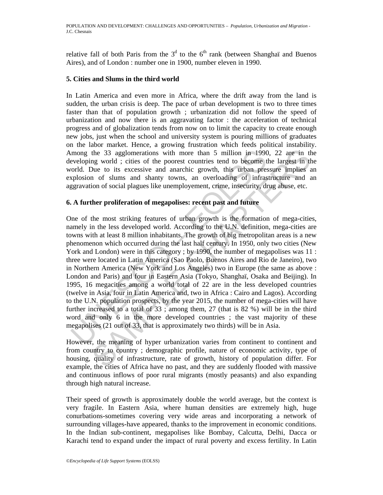relative fall of both Paris from the  $3<sup>d</sup>$  to the 6<sup>th</sup> rank (between Shanghaï and Buenos Aires), and of London : number one in 1900, number eleven in 1990.

### **5. Cities and Slums in the third world**

In Latin America and even more in Africa, where the drift away from the land is sudden, the urban crisis is deep. The pace of urban development is two to three times faster than that of population growth ; urbanization did not follow the speed of urbanization and now there is an aggravating factor : the acceleration of technical progress and of globalization tends from now on to limit the capacity to create enough new jobs, just when the school and university system is pouring millions of graduates on the labor market. Hence, a growing frustration which feeds political instability. Among the 33 agglomerations with more than 5 million in 1990, 22 are in the developing world ; cities of the poorest countries tend to become the largest in the world. Due to its excessive and anarchic growth, this urban pressure implies an explosion of slums and shanty towns, an overloading of infrastructure and an aggravation of social plagues like unemployement, crime, insecurity, drug abuse, etc.

## **6. A further proliferation of megapolises: recent past and future**

mong the 33 agglomerations with more than 5 million in 1990<br>eveloping world; cities of the poorest countries tend to become torld. Due to its excessive and anarchic growth, this urban pres<br>ryplosion of slums and shanky to the 33 agglomerations with more than 5 million in 1990, 22 are in th<br>ng world ; cities of the poorest countries tend to become the largest in the<br>nue to is excessive and anarchic growth, this urban pressure implies<br>and of One of the most striking features of urban growth is the formation of mega-cities, namely in the less developed world. According to the U.N. definition, mega-cities are towns with at least 8 million inhabitants. The growth of big metropolitan areas is a new phenomenon which occurred during the last half century. In 1950, only two cities (New York and London) were in this category ; by 1990, the number of megapolises was 11 : three were located in Latin America (Sao Paolo, Buenos Aires and Rio de Janeiro), two in Northern America (New York and Los Angeles) two in Europe (the same as above : London and Paris) and four in Eastern Asia (Tokyo, Shanghaï, Osaka and Beijing). In 1995, 16 megacities among a world total of 22 are in the less developed countries (twelve in Asia, four in Latin America and, two in Africa : Cairo and Lagos). According to the U.N. population prospects, by the year 2015, the number of mega-cities will have further increased to a total of 33 ; among them, 27 (that is 82 %) will be in the third word and only 6 in the more developed countries ; the vast majority of these megapolises (21 out of 33, that is approximately two thirds) will be in Asia.

However, the meaning of hyper urbanization varies from continent to continent and from country to country ; demographic profile, nature of economic activity, type of housing, quality of infrastructure, rate of growth, history of population differ. For example, the cities of Africa have no past, and they are suddenly flooded with massive and continuous inflows of poor rural migrants (mostly peasants) and also expanding through high natural increase.

Their speed of growth is approximately double the world average, but the context is very fragile. In Eastern Asia, where human densities are extremely high, huge conurbations-sometimes covering very wide areas and incorporating a network of surrounding villages-have appeared, thanks to the improvement in economic conditions. In the Indian sub-continent, megapolises like Bombay, Calcutta, Delhi, Dacca or Karachi tend to expand under the impact of rural poverty and excess fertility. In Latin